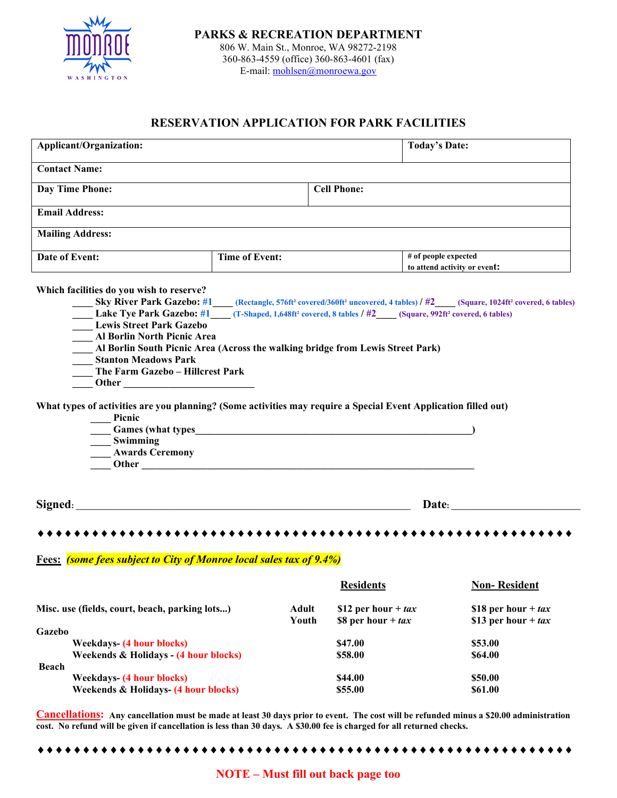

## **RESERVATION APPLICATION FOR PARK FACILITIES**

| Applicant/Organization:                                                                                                                                                                                                                                                                                                                                                                                                                                                                                                                                                                                                                                                                                                                                                      |                       | <b>Today's Date:</b>                          |                    |                                                      |  |  |  |
|------------------------------------------------------------------------------------------------------------------------------------------------------------------------------------------------------------------------------------------------------------------------------------------------------------------------------------------------------------------------------------------------------------------------------------------------------------------------------------------------------------------------------------------------------------------------------------------------------------------------------------------------------------------------------------------------------------------------------------------------------------------------------|-----------------------|-----------------------------------------------|--------------------|------------------------------------------------------|--|--|--|
| <b>Contact Name:</b>                                                                                                                                                                                                                                                                                                                                                                                                                                                                                                                                                                                                                                                                                                                                                         |                       |                                               |                    |                                                      |  |  |  |
| Day Time Phone:                                                                                                                                                                                                                                                                                                                                                                                                                                                                                                                                                                                                                                                                                                                                                              | <b>Cell Phone:</b>    |                                               |                    |                                                      |  |  |  |
| <b>Email Address:</b>                                                                                                                                                                                                                                                                                                                                                                                                                                                                                                                                                                                                                                                                                                                                                        |                       |                                               |                    |                                                      |  |  |  |
| <b>Mailing Address:</b>                                                                                                                                                                                                                                                                                                                                                                                                                                                                                                                                                                                                                                                                                                                                                      |                       |                                               |                    |                                                      |  |  |  |
| Date of Event:                                                                                                                                                                                                                                                                                                                                                                                                                                                                                                                                                                                                                                                                                                                                                               | <b>Time of Event:</b> |                                               |                    | # of people expected<br>to attend activity or event: |  |  |  |
| Which facilities do you wish to reserve?<br>Sky River Park Gazebo: #1 (Rectangle, 576ft <sup>2</sup> covered/360ft <sup>2</sup> uncovered, 4 tables) / #2 (Square, 1024ft <sup>2</sup> covered, 6 tables)<br>Lake Tye Park Gazebo: #1___(T-Shaped, 1,648ft <sup>2</sup> covered, 8 tables / #2___(Square, 992ft <sup>2</sup> covered, 6 tables)<br><b>Lewis Street Park Gazebo</b><br><b>Al Borlin North Picnic Area</b><br>Al Borlin South Picnic Area (Across the walking bridge from Lewis Street Park)<br><b>Stanton Meadows Park</b><br>The Farm Gazebo - Hillcrest Park<br>What types of activities are you planning? (Some activities may require a Special Event Application filled out)<br>Picnic<br><b>Games</b> (what types<br>Swimming<br><b>Awards Ceremony</b> |                       |                                               |                    |                                                      |  |  |  |
| Signed: <u>Signed:</u> <b>Signed: Signed: Signed: Signed: Signed: Signed: Signed: Signed: Signed: Signed: Signed: Signed: Signed: Signed: Signed: Signed: Signed: Signed: Signed: Signed: Sig</b><br>Date:                                                                                                                                                                                                                                                                                                                                                                                                                                                                                                                                                                   |                       |                                               |                    |                                                      |  |  |  |
|                                                                                                                                                                                                                                                                                                                                                                                                                                                                                                                                                                                                                                                                                                                                                                              |                       |                                               |                    |                                                      |  |  |  |
| <b>Fees:</b> (some fees subject to City of Monroe local sales tax of 9.4%)                                                                                                                                                                                                                                                                                                                                                                                                                                                                                                                                                                                                                                                                                                   |                       |                                               |                    |                                                      |  |  |  |
|                                                                                                                                                                                                                                                                                                                                                                                                                                                                                                                                                                                                                                                                                                                                                                              |                       | <b>Residents</b>                              |                    | <b>Non-Resident</b>                                  |  |  |  |
| Misc. use (fields, court, beach, parking lots)<br>Gazebo                                                                                                                                                                                                                                                                                                                                                                                                                                                                                                                                                                                                                                                                                                                     | <b>Adult</b><br>Youth | \$12 per hour + $tax$<br>\$8 per hour + $tax$ |                    | \$18 per hour + $tax$<br>\$13 per hour + $tax$       |  |  |  |
| <b>Weekdays-</b> (4 hour blocks)<br>Weekends & Holidays - (4 hour blocks)<br><b>Beach</b>                                                                                                                                                                                                                                                                                                                                                                                                                                                                                                                                                                                                                                                                                    |                       | \$47.00<br>\$58.00                            | \$53.00<br>\$64.00 |                                                      |  |  |  |
| <b>Weekdays-</b> (4 hour blocks)<br>Weekends & Holidays- (4 hour blocks)                                                                                                                                                                                                                                                                                                                                                                                                                                                                                                                                                                                                                                                                                                     |                       | \$44.00<br>\$55.00                            | \$50.00<br>\$61.00 |                                                      |  |  |  |

**Cancellations: Any cancellation must be made at least 30 days prior to event. The cost will be refunded minus a \$20.00 administration cost. No refund will be given if cancellation is less than 30 days. A \$30.00 fee is charged for all returned checks.**

♦♦♦♦♦♦♦♦♦♦♦♦♦♦♦♦♦♦♦♦♦♦♦♦♦♦♦♦♦♦♦♦♦♦♦♦♦♦♦♦♦♦♦♦♦♦♦♦♦♦♦♦♦♦♦♦♦♦♦